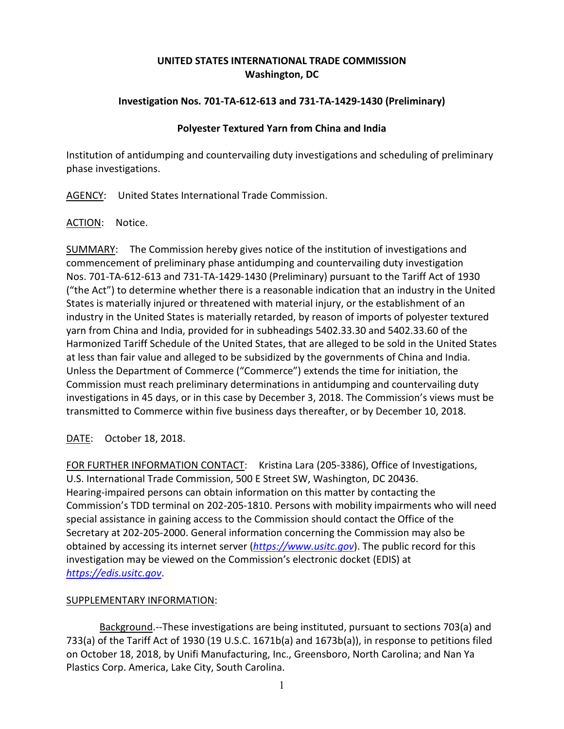# **UNITED STATES INTERNATIONAL TRADE COMMISSION Washington, DC**

## **Investigation Nos. 701-TA-612-613 and 731-TA-1429-1430 (Preliminary)**

### **Polyester Textured Yarn from China and India**

Institution of antidumping and countervailing duty investigations and scheduling of preliminary phase investigations.

AGENCY: United States International Trade Commission.

#### ACTION: Notice.

SUMMARY: The Commission hereby gives notice of the institution of investigations and commencement of preliminary phase antidumping and countervailing duty investigation Nos. 701-TA-612-613 and 731-TA-1429-1430 (Preliminary) pursuant to the Tariff Act of 1930 ("the Act") to determine whether there is a reasonable indication that an industry in the United States is materially injured or threatened with material injury, or the establishment of an industry in the United States is materially retarded, by reason of imports of polyester textured yarn from China and India, provided for in subheadings 5402.33.30 and 5402.33.60 of the Harmonized Tariff Schedule of the United States, that are alleged to be sold in the United States at less than fair value and alleged to be subsidized by the governments of China and India. Unless the Department of Commerce ("Commerce") extends the time for initiation, the Commission must reach preliminary determinations in antidumping and countervailing duty investigations in 45 days, or in this case by December 3, 2018. The Commission's views must be transmitted to Commerce within five business days thereafter, or by December 10, 2018.

DATE: October 18, 2018.

FOR FURTHER INFORMATION CONTACT: Kristina Lara (205-3386), Office of Investigations, U.S. International Trade Commission, 500 E Street SW, Washington, DC 20436. Hearing-impaired persons can obtain information on this matter by contacting the Commission's TDD terminal on 202-205-1810. Persons with mobility impairments who will need special assistance in gaining access to the Commission should contact the Office of the Secretary at 202-205-2000. General information concerning the Commission may also be obtained by accessing its internet server (*[https://www.usitc.gov](https://www.usitc.gov/)*). The public record for this investigation may be viewed on the Commission's electronic docket (EDIS) at *[https://edis.usitc.gov](https://edis.usitc.gov/)*.

## SUPPLEMENTARY INFORMATION:

Background.--These investigations are being instituted, pursuant to sections 703(a) and 733(a) of the Tariff Act of 1930 (19 U.S.C. 1671b(a) and 1673b(a)), in response to petitions filed on October 18, 2018, by Unifi Manufacturing, Inc., Greensboro, North Carolina; and Nan Ya Plastics Corp. America, Lake City, South Carolina.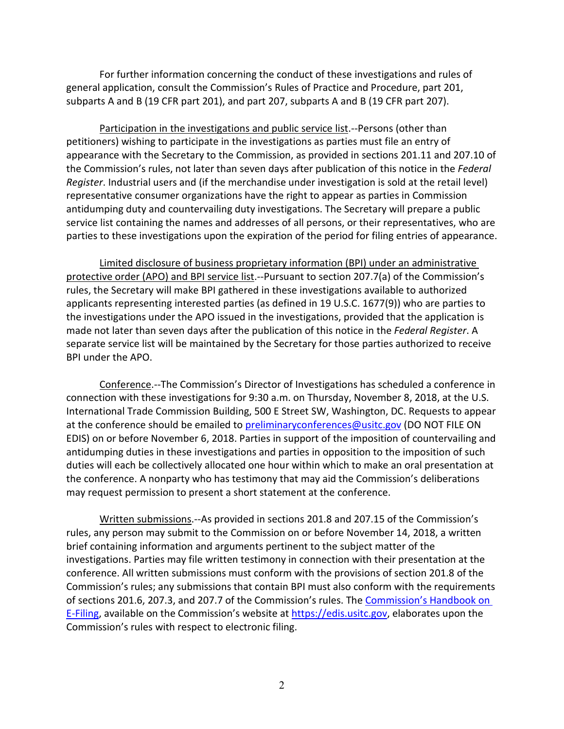For further information concerning the conduct of these investigations and rules of general application, consult the Commission's Rules of Practice and Procedure, part 201, subparts A and B (19 CFR part 201), and part 207, subparts A and B (19 CFR part 207).

Participation in the investigations and public service list.--Persons (other than petitioners) wishing to participate in the investigations as parties must file an entry of appearance with the Secretary to the Commission, as provided in sections 201.11 and 207.10 of the Commission's rules, not later than seven days after publication of this notice in the *Federal Register*. Industrial users and (if the merchandise under investigation is sold at the retail level) representative consumer organizations have the right to appear as parties in Commission antidumping duty and countervailing duty investigations. The Secretary will prepare a public service list containing the names and addresses of all persons, or their representatives, who are parties to these investigations upon the expiration of the period for filing entries of appearance.

Limited disclosure of business proprietary information (BPI) under an administrative protective order (APO) and BPI service list.--Pursuant to section 207.7(a) of the Commission's rules, the Secretary will make BPI gathered in these investigations available to authorized applicants representing interested parties (as defined in 19 U.S.C. 1677(9)) who are parties to the investigations under the APO issued in the investigations, provided that the application is made not later than seven days after the publication of this notice in the *Federal Register*. A separate service list will be maintained by the Secretary for those parties authorized to receive BPI under the APO.

Conference.--The Commission's Director of Investigations has scheduled a conference in connection with these investigations for 9:30 a.m. on Thursday, November 8, 2018, at the U.S. International Trade Commission Building, 500 E Street SW, Washington, DC. Requests to appear at the conference should be emailed to [preliminaryconferences@usitc.gov](mailto:preliminaryconferences@usitc.gov) (DO NOT FILE ON EDIS) on or before November 6, 2018. Parties in support of the imposition of countervailing and antidumping duties in these investigations and parties in opposition to the imposition of such duties will each be collectively allocated one hour within which to make an oral presentation at the conference. A nonparty who has testimony that may aid the Commission's deliberations may request permission to present a short statement at the conference.

Written submissions.--As provided in sections 201.8 and 207.15 of the Commission's rules, any person may submit to the Commission on or before November 14, 2018, a written brief containing information and arguments pertinent to the subject matter of the investigations. Parties may file written testimony in connection with their presentation at the conference. All written submissions must conform with the provisions of section 201.8 of the Commission's rules; any submissions that contain BPI must also conform with the requirements of sections 201.6, 207.3, and 207.7 of the Commission's rules. The [Commission's Handbook on](http://www.usitc.gov/secretary/documents/handbook_on_filing_procedures.pdf)  [E-Filing,](http://www.usitc.gov/secretary/documents/handbook_on_filing_procedures.pdf) available on the Commission's website at [https://edis.usitc.gov,](https://edis.usitc.gov/) elaborates upon the Commission's rules with respect to electronic filing.